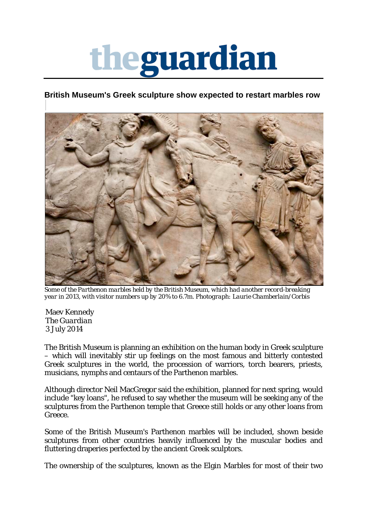## theguardian

## **British Museum's Greek sculpture show expected to restart marbles row**



*Some of the Parthenon marbles held by the British Museum, which had another record-breaking year in 2013, with visitor numbers up by 20% to 6.7m. Photograph: Laurie Chamberlain/Corbis*

Maev Kennedy The *Guardian* 3 July 2014

The British Museum is planning an exhibition on the human body in Greek sculpture – which will inevitably stir up feelings on the most famous and bitterly contested Greek sculptures in the world, the procession of warriors, torch bearers, priests, musicians, nymphs and centaurs of the Parthenon marbles.

Although director Neil MacGregor said the exhibition, planned for next spring, would include "key loans", he refused to say whether the museum will be seeking any of the sculptures from the Parthenon temple that Greece still holds or any other loans from Greece.

Some of the British Museum's Parthenon marbles will be included, shown beside sculptures from other countries heavily influenced by the muscular bodies and fluttering draperies perfected by the ancient Greek sculptors.

The ownership of the sculptures, known as the Elgin Marbles for most of their two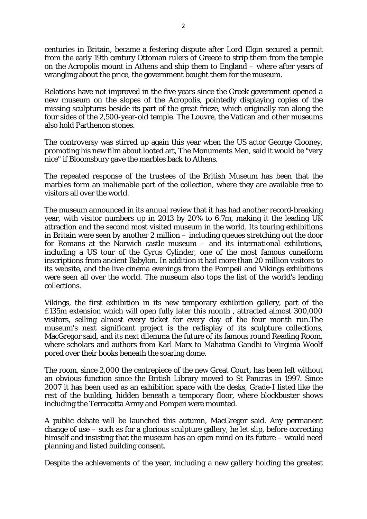centuries in Britain, became a festering dispute after Lord Elgin secured a permit from the early 19th century Ottoman rulers of Greece to strip them from the temple on the Acropolis mount in Athens and ship them to England – where after years of wrangling about the price, the government bought them for the museum.

Relations have not improved in the five years since the Greek government opened a new museum on the slopes of the Acropolis, pointedly displaying copies of the missing sculptures beside its part of the great frieze, which originally ran along the four sides of the 2,500-year-old temple. The Louvre, the Vatican and other museums also hold Parthenon stones.

The controversy was stirred up again this year when the US actor George Clooney, promoting his new film about looted art, The Monuments Men, said it would be "very nice" if Bloomsbury gave the marbles back to Athens.

The repeated response of the trustees of the British Museum has been that the marbles form an inalienable part of the collection, where they are available free to visitors all over the world.

The museum announced in its annual review that it has had another record-breaking year, with visitor numbers up in 2013 by 20% to 6.7m, making it the leading UK attraction and the second most visited museum in the world. Its touring exhibitions in Britain were seen by another 2 million – including queues stretching out the door for Romans at the Norwich castle museum – and its international exhibitions, including a US tour of the Cyrus Cylinder, one of the most famous cuneiform inscriptions from ancient Babylon. In addition it had more than 20 million visitors to its website, and the live cinema evenings from the Pompeii and Vikings exhibitions were seen all over the world. The museum also tops the list of the world's lending collections.

Vikings, the first exhibition in its new temporary exhibition gallery, part of the £135m extension which will open fully later this month , attracted almost 300,000 visitors, selling almost every ticket for every day of the four month run.The museum's next significant project is the redisplay of its sculpture collections, MacGregor said, and its next dilemma the future of its famous round Reading Room, where scholars and authors from Karl Marx to Mahatma Gandhi to Virginia Woolf pored over their books beneath the soaring dome.

The room, since 2,000 the centrepiece of the new Great Court, has been left without an obvious function since the British Library moved to St Pancras in 1997. Since 2007 it has been used as an exhibition space with the desks, Grade-I listed like the rest of the building, hidden beneath a temporary floor, where blockbuster shows including the Terracotta Army and Pompeii were mounted.

A public debate will be launched this autumn, MacGregor said. Any permanent change of use – such as for a glorious sculpture gallery, he let slip, before correcting himself and insisting that the museum has an open mind on its future – would need planning and listed building consent.

Despite the achievements of the year, including a new gallery holding the greatest